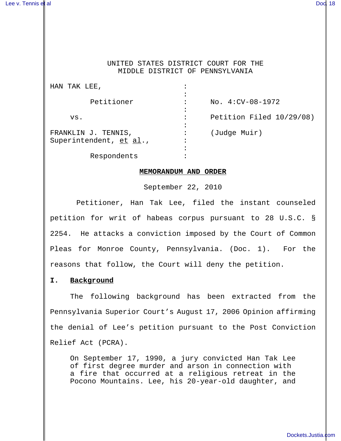## UNITED STATES DISTRICT COURT FOR THE MIDDLE DISTRICT OF PENNSYLVANIA

| HAN TAK LEE,            |           |                          |
|-------------------------|-----------|--------------------------|
|                         |           |                          |
| Petitioner              |           | $No. 4:CV-08-1972$       |
|                         |           |                          |
| VS.                     | $\bullet$ | Petition Filed 10/29/08) |
|                         |           |                          |
| FRANKLIN J. TENNIS,     |           | (Judge Muir)             |
| Superintendent, et al., |           |                          |
|                         |           |                          |
| Respondents             |           |                          |

## **MEMORANDUM AND ORDER**

September 22, 2010

 Petitioner, Han Tak Lee, filed the instant counseled petition for writ of habeas corpus pursuant to 28 U.S.C. § 2254. He attacks a conviction imposed by the Court of Common Pleas for Monroe County, Pennsylvania. (Doc. 1). For the reasons that follow, the Court will deny the petition.

# **I. Background**

The following background has been extracted from the Pennsylvania Superior Court's August 17, 2006 Opinion affirming the denial of Lee's petition pursuant to the Post Conviction Relief Act (PCRA).

On September 17, 1990, a jury convicted Han Tak Lee of first degree murder and arson in connection with a fire that occurred at a religious retreat in the Pocono Mountains. Lee, his 20-year-old daughter, and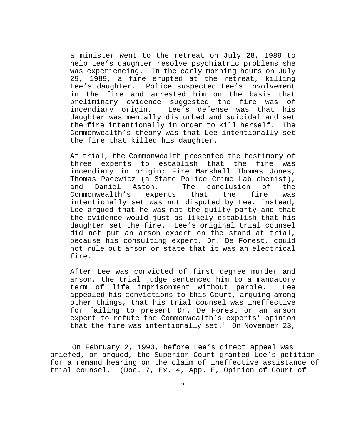a minister went to the retreat on July 28, 1989 to help Lee's daughter resolve psychiatric problems she was experiencing. In the early morning hours on July 29, 1989, a fire erupted at the retreat, killing Lee's daughter. Police suspected Lee's involvement in the fire and arrested him on the basis that preliminary evidence suggested the fire was of incendiary origin. Lee's defense was that his daughter was mentally disturbed and suicidal and set the fire intentionally in order to kill herself. The Commonwealth's theory was that Lee intentionally set the fire that killed his daughter.

At trial, the Commonwealth presented the testimony of three experts to establish that the fire was incendiary in origin; Fire Marshall Thomas Jones, Thomas Pacewicz (a State Police Crime Lab chemist), and Daniel Aston. The conclusion of the Commonwealth's experts that the fire was intentionally set was not disputed by Lee. Instead, Lee argued that he was not the guilty party and that the evidence would just as likely establish that his daughter set the fire. Lee's original trial counsel did not put an arson expert on the stand at trial, because his consulting expert, Dr. De Forest, could not rule out arson or state that it was an electrical fire.

After Lee was convicted of first degree murder and arson, the trial judge sentenced him to a mandatory term of life imprisonment without parole. Lee appealed his convictions to this Court, arguing among other things, that his trial counsel was ineffective for failing to present Dr. De Forest or an arson expert to refute the Commonwealth's experts' opinion that the fire was intentionally set.<sup>1</sup> On November 23,

<sup>1</sup> On February 2, 1993, before Lee's direct appeal was briefed, or argued, the Superior Court granted Lee's petition for a remand hearing on the claim of ineffective assistance of trial counsel. (Doc. 7, Ex. 4, App. E, Opinion of Court of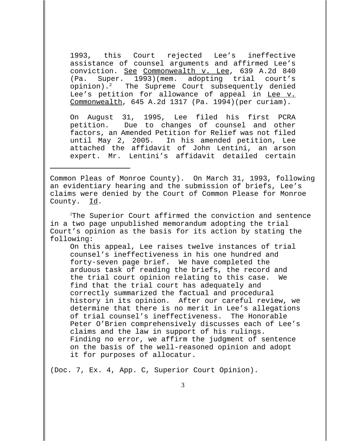1993, this Court rejected Lee's ineffective assistance of counsel arguments and affirmed Lee's conviction. See Commonwealth v. Lee, 639 A.2d 840 (Pa. Super. 1993)(mem. adopting trial court's opinion). $^2$  The Supreme Court subsequently denied Lee's petition for allowance of appeal in Lee v. Commonwealth, 645 A.2d 1317 (Pa. 1994)(per curiam).

On August 31, 1995, Lee filed his first PCRA petition. Due to changes of counsel and other factors, an Amended Petition for Relief was not filed until May 2, 2005. In his amended petition, Lee attached the affidavit of John Lentini, an arson expert. Mr. Lentini's affidavit detailed certain

Common Pleas of Monroe County). On March 31, 1993, following an evidentiary hearing and the submission of briefs, Lee's claims were denied by the Court of Common Please for Monroe County. Id.

<sup>2</sup>The Superior Court affirmed the conviction and sentence in a two page unpublished memorandum adopting the trial Court's opinion as the basis for its action by stating the following:

On this appeal, Lee raises twelve instances of trial counsel's ineffectiveness in his one hundred and forty-seven page brief. We have completed the arduous task of reading the briefs, the record and the trial court opinion relating to this case. We find that the trial court has adequately and correctly summarized the factual and procedural history in its opinion. After our careful review, we determine that there is no merit in Lee's allegations of trial counsel's ineffectiveness. The Honorable Peter O'Brien comprehensively discusses each of Lee's claims and the law in support of his rulings. Finding no error, we affirm the judgment of sentence on the basis of the well-reasoned opinion and adopt it for purposes of allocatur.

(Doc. 7, Ex. 4, App. C, Superior Court Opinion).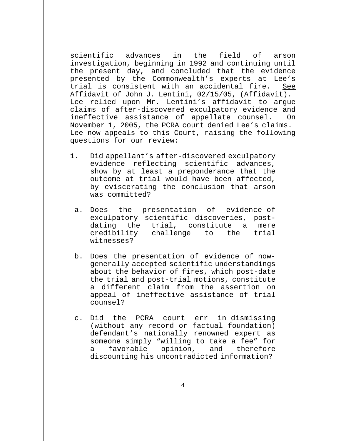scientific advances in the field of arson investigation, beginning in 1992 and continuing until the present day, and concluded that the evidence presented by the Commonwealth's experts at Lee's trial is consistent with an accidental fire. See Affidavit of John J. Lentini, 02/15/05, (Affidavit). Lee relied upon Mr. Lentini's affidavit to argue claims of after-discovered exculpatory evidence and ineffective assistance of appellate counsel. On November 1, 2005, the PCRA court denied Lee's claims. Lee now appeals to this Court, raising the following questions for our review:

- 1. Did appellant's after-discovered exculpatory evidence reflecting scientific advances, show by at least a preponderance that the outcome at trial would have been affected, by eviscerating the conclusion that arson was committed?
	- a. Does the presentation of evidence of exculpatory scientific discoveries, postdating the trial, constitute a mere credibility challenge to the trial witnesses?
	- b. Does the presentation of evidence of nowgenerally accepted scientific understandings about the behavior of fires, which post-date the trial and post-trial motions, constitute a different claim from the assertion on appeal of ineffective assistance of trial counsel?
	- c. Did the PCRA court err in dismissing (without any record or factual foundation) defendant's nationally renowned expert as someone simply "willing to take a fee" for a favorable opinion, and therefore discounting his uncontradicted information?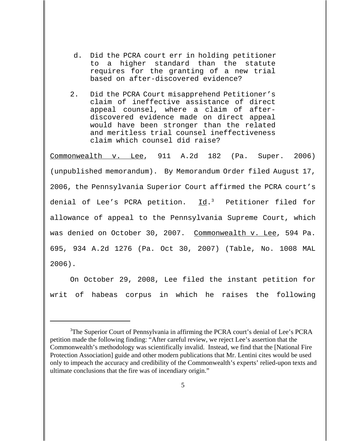- d. Did the PCRA court err in holding petitioner to a higher standard than the statute requires for the granting of a new trial based on after-discovered evidence?
- 2. Did the PCRA Court misapprehend Petitioner's claim of ineffective assistance of direct appeal counsel, where a claim of afterdiscovered evidence made on direct appeal would have been stronger than the related and meritless trial counsel ineffectiveness claim which counsel did raise?

Commonwealth v. Lee, 911 A.2d 182 (Pa. Super. 2006) (unpublished memorandum). By Memorandum Order filed August 17, 2006, the Pennsylvania Superior Court affirmed the PCRA court's denial of Lee's PCRA petition.  $\underline{Id}$ .<sup>3</sup> Petitioner filed for allowance of appeal to the Pennsylvania Supreme Court, which was denied on October 30, 2007. Commonwealth v. Lee, 594 Pa. 695, 934 A.2d 1276 (Pa. Oct 30, 2007) (Table, No. 1008 MAL 2006).

On October 29, 2008, Lee filed the instant petition for writ of habeas corpus in which he raises the following

<sup>&</sup>lt;sup>3</sup>The Superior Court of Pennsylvania in affirming the PCRA court's denial of Lee's PCRA petition made the following finding: "After careful review, we reject Lee's assertion that the Commonwealth's methodology was scientifically invalid. Instead, we find that the [National Fire Protection Association] guide and other modern publications that Mr. Lentini cites would be used only to impeach the accuracy and credibility of the Commonwealth's experts' relied-upon texts and ultimate conclusions that the fire was of incendiary origin."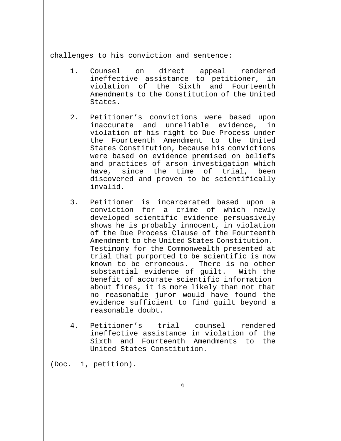challenges to his conviction and sentence:

- 1. Counsel on direct appeal rendered ineffective assistance to petitioner, in violation of the Sixth and Fourteenth Amendments to the Constitution of the United States.
- 2. Petitioner's convictions were based upon inaccurate and unreliable evidence, in violation of his right to Due Process under the Fourteenth Amendment to the United States Constitution, because his convictions were based on evidence premised on beliefs and practices of arson investigation which have, since the time of trial, been discovered and proven to be scientifically invalid.
- 3. Petitioner is incarcerated based upon a conviction for a crime of which newly developed scientific evidence persuasively shows he is probably innocent, in violation of the Due Process Clause of the Fourteenth Amendment to the United States Constitution. Testimony for the Commonwealth presented at trial that purported to be scientific is now known to be erroneous. There is no other substantial evidence of guilt. With the benefit of accurate scientific information about fires, it is more likely than not that no reasonable juror would have found the evidence sufficient to find guilt beyond a reasonable doubt.
- 4. Petitioner's trial counsel rendered ineffective assistance in violation of the Sixth and Fourteenth Amendments to the United States Constitution.

(Doc. 1, petition).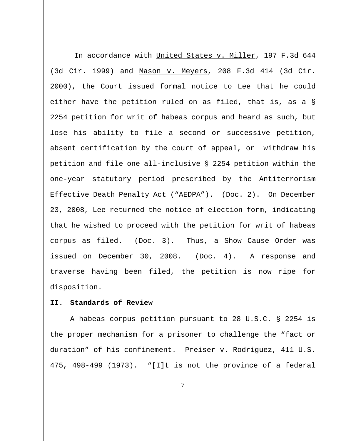In accordance with United States v. Miller, 197 F.3d 644 (3d Cir. 1999) and Mason v. Meyers, 208 F.3d 414 (3d Cir. 2000), the Court issued formal notice to Lee that he could either have the petition ruled on as filed, that is, as a § 2254 petition for writ of habeas corpus and heard as such, but lose his ability to file a second or successive petition, absent certification by the court of appeal, or withdraw his petition and file one all-inclusive § 2254 petition within the one-year statutory period prescribed by the Antiterrorism Effective Death Penalty Act ("AEDPA"). (Doc. 2). On December 23, 2008, Lee returned the notice of election form, indicating that he wished to proceed with the petition for writ of habeas corpus as filed. (Doc. 3). Thus, a Show Cause Order was issued on December 30, 2008. (Doc. 4). A response and traverse having been filed, the petition is now ripe for disposition.

#### **II. Standards of Review**

A habeas corpus petition pursuant to 28 U.S.C. § 2254 is the proper mechanism for a prisoner to challenge the "fact or duration" of his confinement. Preiser v. Rodriguez, 411 U.S. 475, 498-499 (1973). "[I]t is not the province of a federal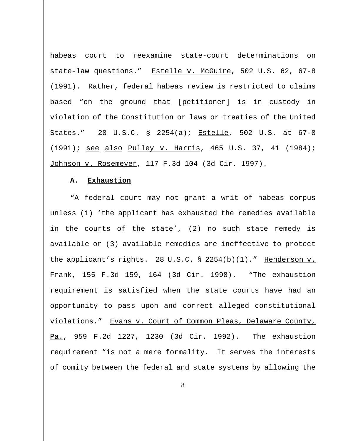habeas court to reexamine state-court determinations on state-law questions." Estelle v. McGuire, 502 U.S. 62, 67-8 (1991). Rather, federal habeas review is restricted to claims based "on the ground that [petitioner] is in custody in violation of the Constitution or laws or treaties of the United States." 28 U.S.C. § 2254(a); Estelle, 502 U.S. at 67-8 (1991); see also Pulley v. Harris, 465 U.S. 37, 41 (1984); Johnson v. Rosemeyer, 117 F.3d 104 (3d Cir. 1997).

### **A. Exhaustion**

"A federal court may not grant a writ of habeas corpus unless (1) 'the applicant has exhausted the remedies available in the courts of the state', (2) no such state remedy is available or (3) available remedies are ineffective to protect the applicant's rights. 28 U.S.C. § 2254(b)(1)." Henderson v. Frank, 155 F.3d 159, 164 (3d Cir. 1998). "The exhaustion requirement is satisfied when the state courts have had an opportunity to pass upon and correct alleged constitutional violations." Evans v. Court of Common Pleas, Delaware County, Pa., 959 F.2d 1227, 1230 (3d Cir. 1992). The exhaustion requirement "is not a mere formality. It serves the interests of comity between the federal and state systems by allowing the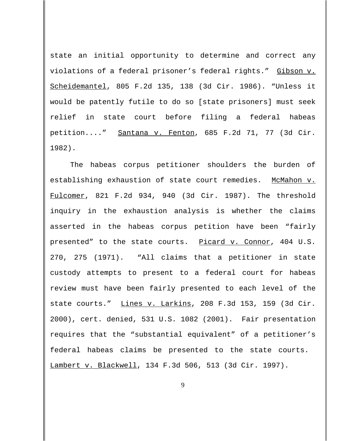state an initial opportunity to determine and correct any violations of a federal prisoner's federal rights." Gibson v. Scheidemantel, 805 F.2d 135, 138 (3d Cir. 1986). "Unless it would be patently futile to do so [state prisoners] must seek relief in state court before filing a federal habeas petition...." Santana v. Fenton, 685 F.2d 71, 77 (3d Cir. 1982).

The habeas corpus petitioner shoulders the burden of establishing exhaustion of state court remedies. McMahon v. Fulcomer, 821 F.2d 934, 940 (3d Cir. 1987). The threshold inquiry in the exhaustion analysis is whether the claims asserted in the habeas corpus petition have been "fairly presented" to the state courts. Picard v. Connor, 404 U.S. 270, 275 (1971). "All claims that a petitioner in state custody attempts to present to a federal court for habeas review must have been fairly presented to each level of the state courts." Lines v. Larkins, 208 F.3d 153, 159 (3d Cir. 2000), cert. denied, 531 U.S. 1082 (2001). Fair presentation requires that the "substantial equivalent" of a petitioner's federal habeas claims be presented to the state courts. Lambert v. Blackwell, 134 F.3d 506, 513 (3d Cir. 1997).

9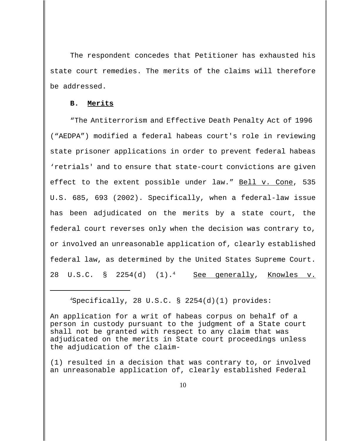The respondent concedes that Petitioner has exhausted his state court remedies. The merits of the claims will therefore be addressed.

#### **B. Merits**

"The Antiterrorism and Effective Death Penalty Act of 1996 ("AEDPA") modified a federal habeas court's role in reviewing state prisoner applications in order to prevent federal habeas 'retrials' and to ensure that state-court convictions are given effect to the extent possible under law." Bell v. Cone, 535 U.S. 685, 693 (2002). Specifically, when a federal-law issue has been adjudicated on the merits by a state court, the federal court reverses only when the decision was contrary to, or involved an unreasonable application of, clearly established federal law, as determined by the United States Supreme Court. 28 U.S.C. § 2254(d)  $(1).<sup>4</sup>$  See generally, Knowles v.

4 Specifically, 28 U.S.C. § 2254(d)(1) provides:

An application for a writ of habeas corpus on behalf of a person in custody pursuant to the judgment of a State court shall not be granted with respect to any claim that was adjudicated on the merits in State court proceedings unless the adjudication of the claim-

(1) resulted in a decision that was contrary to, or involved an unreasonable application of, clearly established Federal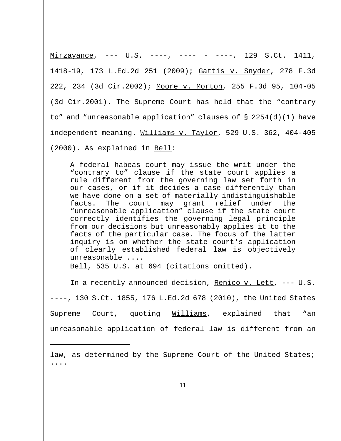Mirzayance, --- U.S. ----, ---- - ----, 129 S.Ct. 1411, 1418-19, 173 L.Ed.2d 251 (2009); Gattis v. Snyder, 278 F.3d 222, 234 (3d Cir.2002); Moore v. Morton, 255 F.3d 95, 104-05 (3d Cir.2001). The Supreme Court has held that the "contrary to" and "unreasonable application" clauses of § 2254(d)(1) have independent meaning. Williams v. Taylor, 529 U.S. 362, 404-405 (2000). As explained in Bell:

A federal habeas court may issue the writ under the "contrary to" clause if the state court applies a rule different from the governing law set forth in our cases, or if it decides a case differently than we have done on a set of materially indistinguishable facts. The court may grant relief under the "unreasonable application" clause if the state court correctly identifies the governing legal principle from our decisions but unreasonably applies it to the facts of the particular case. The focus of the latter inquiry is on whether the state court's application of clearly established federal law is objectively unreasonable ....

Bell, 535 U.S. at 694 (citations omitted).

In a recently announced decision, Renico v. Lett, --- U.S. ----, 130 S.Ct. 1855, 176 L.Ed.2d 678 (2010), the United States Supreme Court, quoting Williams, explained that "an unreasonable application of federal law is different from an

law, as determined by the Supreme Court of the United States; ....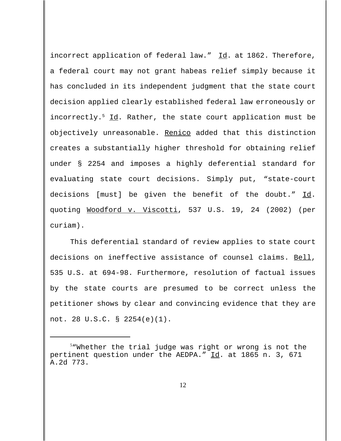incorrect application of federal law." Id. at 1862. Therefore, a federal court may not grant habeas relief simply because it has concluded in its independent judgment that the state court decision applied clearly established federal law erroneously or incorrectly.<sup>5</sup> Id. Rather, the state court application must be objectively unreasonable. Renico added that this distinction creates a substantially higher threshold for obtaining relief under § 2254 and imposes a highly deferential standard for evaluating state court decisions. Simply put, "state-court decisions [must] be given the benefit of the doubt." Id. quoting Woodford v. Viscotti, 537 U.S. 19, 24 (2002) (per curiam).

This deferential standard of review applies to state court decisions on ineffective assistance of counsel claims. Bell, 535 U.S. at 694-98. Furthermore, resolution of factual issues by the state courts are presumed to be correct unless the petitioner shows by clear and convincing evidence that they are not. 28 U.S.C. § 2254(e)(1).

<sup>5</sup> "Whether the trial judge was right or wrong is not the pertinent question under the AEDPA." Id. at 1865 n. 3, 671 A.2d 773.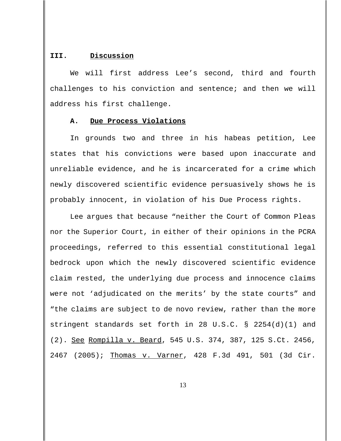### **III. Discussion**

We will first address Lee's second, third and fourth challenges to his conviction and sentence; and then we will address his first challenge.

### **A. Due Process Violations**

In grounds two and three in his habeas petition, Lee states that his convictions were based upon inaccurate and unreliable evidence, and he is incarcerated for a crime which newly discovered scientific evidence persuasively shows he is probably innocent, in violation of his Due Process rights.

Lee argues that because "neither the Court of Common Pleas nor the Superior Court, in either of their opinions in the PCRA proceedings, referred to this essential constitutional legal bedrock upon which the newly discovered scientific evidence claim rested, the underlying due process and innocence claims were not 'adjudicated on the merits' by the state courts" and "the claims are subject to de novo review, rather than the more stringent standards set forth in 28 U.S.C. § 2254(d)(1) and (2). See Rompilla v. Beard, 545 U.S. 374, 387, 125 S.Ct. 2456, 2467 (2005); Thomas v. Varner, 428 F.3d 491, 501 (3d Cir.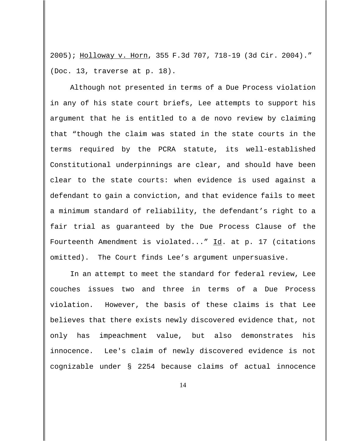2005); Holloway v. Horn, 355 F.3d 707, 718-19 (3d Cir. 2004)." (Doc. 13, traverse at p. 18).

Although not presented in terms of a Due Process violation in any of his state court briefs, Lee attempts to support his argument that he is entitled to a de novo review by claiming that "though the claim was stated in the state courts in the terms required by the PCRA statute, its well-established Constitutional underpinnings are clear, and should have been clear to the state courts: when evidence is used against a defendant to gain a conviction, and that evidence fails to meet a minimum standard of reliability, the defendant's right to a fair trial as guaranteed by the Due Process Clause of the Fourteenth Amendment is violated..."  $\underline{Id}$ . at p. 17 (citations omitted). The Court finds Lee's argument unpersuasive.

In an attempt to meet the standard for federal review, Lee couches issues two and three in terms of a Due Process violation. However, the basis of these claims is that Lee believes that there exists newly discovered evidence that, not only has impeachment value, but also demonstrates his innocence. Lee's claim of newly discovered evidence is not cognizable under § 2254 because claims of actual innocence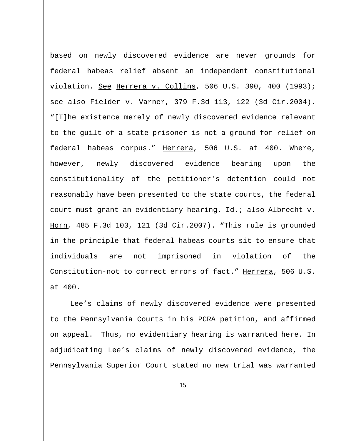based on newly discovered evidence are never grounds for federal habeas relief absent an independent constitutional violation. See Herrera v. Collins, 506 U.S. 390, 400 (1993); see also Fielder v. Varner, 379 F.3d 113, 122 (3d Cir.2004). "[T]he existence merely of newly discovered evidence relevant to the guilt of a state prisoner is not a ground for relief on federal habeas corpus." Herrera, 506 U.S. at 400. Where, however, newly discovered evidence bearing upon the constitutionality of the petitioner's detention could not reasonably have been presented to the state courts, the federal court must grant an evidentiary hearing. Id.; also Albrecht v. Horn, 485 F.3d 103, 121 (3d Cir.2007). "This rule is grounded in the principle that federal habeas courts sit to ensure that individuals are not imprisoned in violation of the Constitution-not to correct errors of fact." Herrera, 506 U.S. at 400.

Lee's claims of newly discovered evidence were presented to the Pennsylvania Courts in his PCRA petition, and affirmed on appeal. Thus, no evidentiary hearing is warranted here. In adjudicating Lee's claims of newly discovered evidence, the Pennsylvania Superior Court stated no new trial was warranted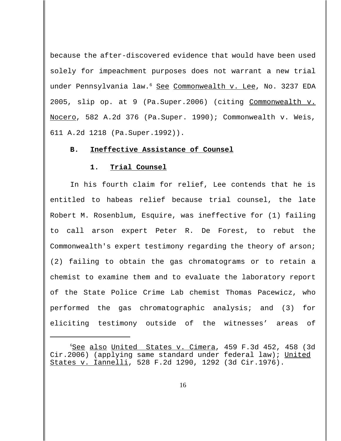because the after-discovered evidence that would have been used solely for impeachment purposes does not warrant a new trial under Pennsylvania law.<sup>6</sup> See Commonwealth v. Lee, No. 3237 EDA 2005, slip op. at 9 (Pa.Super.2006) (citing Commonwealth v. Nocero, 582 A.2d 376 (Pa.Super. 1990); Commonwealth v. Weis, 611 A.2d 1218 (Pa.Super.1992)).

### **B. Ineffective Assistance of Counsel**

#### **1. Trial Counsel**

In his fourth claim for relief, Lee contends that he is entitled to habeas relief because trial counsel, the late Robert M. Rosenblum, Esquire, was ineffective for (1) failing to call arson expert Peter R. De Forest, to rebut the Commonwealth's expert testimony regarding the theory of arson; (2) failing to obtain the gas chromatograms or to retain a chemist to examine them and to evaluate the laboratory report of the State Police Crime Lab chemist Thomas Pacewicz, who performed the gas chromatographic analysis; and (3) for eliciting testimony outside of the witnesses' areas of

6 See also United States v. Cimera, 459 F.3d 452, 458 (3d Cir.2006) (applying same standard under federal law); United States v. Iannelli, 528 F.2d 1290, 1292 (3d Cir.1976).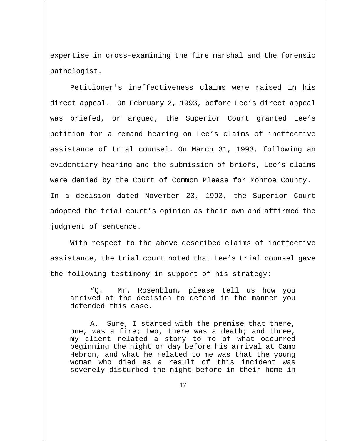expertise in cross-examining the fire marshal and the forensic pathologist.

Petitioner's ineffectiveness claims were raised in his direct appeal. On February 2, 1993, before Lee's direct appeal was briefed, or argued, the Superior Court granted Lee's petition for a remand hearing on Lee's claims of ineffective assistance of trial counsel. On March 31, 1993, following an evidentiary hearing and the submission of briefs, Lee's claims were denied by the Court of Common Please for Monroe County. In a decision dated November 23, 1993, the Superior Court adopted the trial court's opinion as their own and affirmed the judgment of sentence.

With respect to the above described claims of ineffective assistance, the trial court noted that Lee's trial counsel gave the following testimony in support of his strategy:

"Q. Mr. Rosenblum, please tell us how you arrived at the decision to defend in the manner you defended this case.

A. Sure, I started with the premise that there, one, was a fire; two, there was a death; and three, my client related a story to me of what occurred beginning the night or day before his arrival at Camp Hebron, and what he related to me was that the young woman who died as a result of this incident was severely disturbed the night before in their home in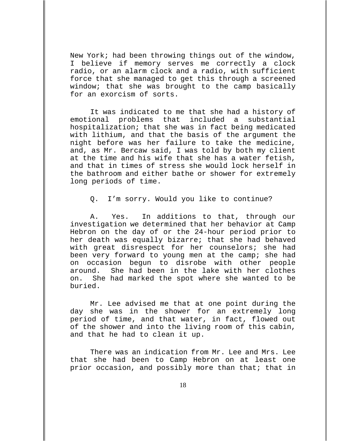New York; had been throwing things out of the window, I believe if memory serves me correctly a clock radio, or an alarm clock and a radio, with sufficient force that she managed to get this through a screened window; that she was brought to the camp basically for an exorcism of sorts.

It was indicated to me that she had a history of emotional problems that included a substantial hospitalization; that she was in fact being medicated with lithium, and that the basis of the argument the night before was her failure to take the medicine, and, as Mr. Bercaw said, I was told by both my client at the time and his wife that she has a water fetish, and that in times of stress she would lock herself in the bathroom and either bathe or shower for extremely long periods of time.

Q. I'm sorry. Would you like to continue?

A. Yes. In additions to that, through our investigation we determined that her behavior at Camp Hebron on the day of or the 24-hour period prior to her death was equally bizarre; that she had behaved with great disrespect for her counselors; she had been very forward to young men at the camp; she had on occasion begun to disrobe with other people around. She had been in the lake with her clothes on. She had marked the spot where she wanted to be buried.

Mr. Lee advised me that at one point during the day she was in the shower for an extremely long period of time, and that water, in fact, flowed out of the shower and into the living room of this cabin, and that he had to clean it up.

There was an indication from Mr. Lee and Mrs. Lee that she had been to Camp Hebron on at least one prior occasion, and possibly more than that; that in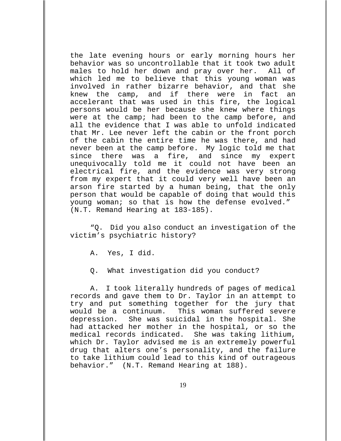the late evening hours or early morning hours her behavior was so uncontrollable that it took two adult males to hold her down and pray over her. All of which led me to believe that this young woman was involved in rather bizarre behavior, and that she knew the camp, and if there were in fact an accelerant that was used in this fire, the logical persons would be her because she knew where things were at the camp; had been to the camp before, and all the evidence that I was able to unfold indicated that Mr. Lee never left the cabin or the front porch of the cabin the entire time he was there, and had never been at the camp before. My logic told me that since there was a fire, and since my expert unequivocally told me it could not have been an electrical fire, and the evidence was very strong from my expert that it could very well have been an arson fire started by a human being, that the only person that would be capable of doing that would this young woman; so that is how the defense evolved." (N.T. Remand Hearing at 183-185).

"Q. Did you also conduct an investigation of the victim's psychiatric history?

A. Yes, I did.

Q. What investigation did you conduct?

A. I took literally hundreds of pages of medical records and gave them to Dr. Taylor in an attempt to try and put something together for the jury that would be a continuum. This woman suffered severe depression. She was suicidal in the hospital. She had attacked her mother in the hospital, or so the medical records indicated. She was taking lithium, which Dr. Taylor advised me is an extremely powerful drug that alters one's personality, and the failure to take lithium could lead to this kind of outrageous behavior." (N.T. Remand Hearing at 188).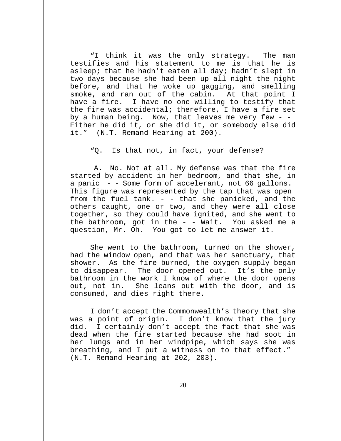"I think it was the only strategy. The man testifies and his statement to me is that he is asleep; that he hadn't eaten all day; hadn't slept in two days because she had been up all night the night before, and that he woke up gagging, and smelling smoke, and ran out of the cabin. At that point I have a fire. I have no one willing to testify that the fire was accidental; therefore, I have a fire set by a human being. Now, that leaves me very few - -Either he did it, or she did it, or somebody else did it." (N.T. Remand Hearing at 200).

"Q. Is that not, in fact, your defense?

 A. No. Not at all. My defense was that the fire started by accident in her bedroom, and that she, in a panic - - Some form of accelerant, not 66 gallons. This figure was represented by the tap that was open from the fuel tank. - - that she panicked, and the others caught, one or two, and they were all close together, so they could have ignited, and she went to the bathroom, got in the - - Wait. You asked me a question, Mr. Oh. You got to let me answer it.

She went to the bathroom, turned on the shower, had the window open, and that was her sanctuary, that shower. As the fire burned, the oxygen supply began to disappear. The door opened out. It's the only bathroom in the work I know of where the door opens out, not in. She leans out with the door, and is consumed, and dies right there.

I don't accept the Commonwealth's theory that she was a point of origin. I don't know that the jury did. I certainly don't accept the fact that she was dead when the fire started because she had soot in her lungs and in her windpipe, which says she was breathing, and I put a witness on to that effect." (N.T. Remand Hearing at 202, 203).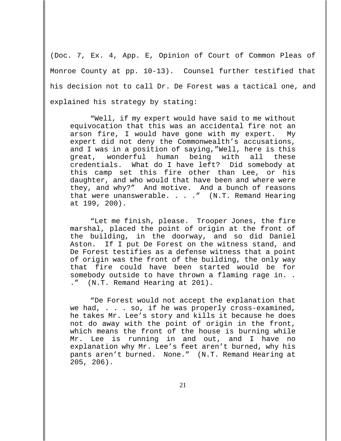(Doc. 7, Ex. 4, App. E, Opinion of Court of Common Pleas of Monroe County at pp. 10-13). Counsel further testified that his decision not to call Dr. De Forest was a tactical one, and explained his strategy by stating:

"Well, if my expert would have said to me without equivocation that this was an accidental fire not an arson fire, I would have gone with my expert. My expert did not deny the Commonwealth's accusations, and I was in a position of saying,"Well, here is this great, wonderful human being with all these credentials. What do I have left? Did somebody at this camp set this fire other than Lee, or his daughter, and who would that have been and where were they, and why?" And motive. And a bunch of reasons that were unanswerable. . . ." (N.T. Remand Hearing at 199, 200).

"Let me finish, please. Trooper Jones, the fire marshal, placed the point of origin at the front of the building, in the doorway, and so did Daniel Aston. If I put De Forest on the witness stand, and De Forest testifies as a defense witness that a point of origin was the front of the building, the only way that fire could have been started would be for somebody outside to have thrown a flaming rage in. . ." (N.T. Remand Hearing at 201).

"De Forest would not accept the explanation that we had, . . . so, if he was properly cross-examined, he takes Mr. Lee's story and kills it because he does not do away with the point of origin in the front, which means the front of the house is burning while Mr. Lee is running in and out, and I have no explanation why Mr. Lee's feet aren't burned, why his pants aren't burned. None." (N.T. Remand Hearing at 205, 206).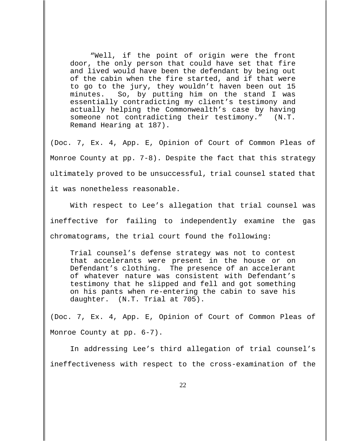"Well, if the point of origin were the front door, the only person that could have set that fire and lived would have been the defendant by being out of the cabin when the fire started, and if that were to go to the jury, they wouldn't haven been out 15 minutes. So, by putting him on the stand I was essentially contradicting my client's testimony and actually helping the Commonwealth's case by having someone not contradicting their testimony." (N.T. Remand Hearing at 187).

(Doc. 7, Ex. 4, App. E, Opinion of Court of Common Pleas of Monroe County at pp. 7-8). Despite the fact that this strategy ultimately proved to be unsuccessful, trial counsel stated that it was nonetheless reasonable.

With respect to Lee's allegation that trial counsel was ineffective for failing to independently examine the gas chromatograms, the trial court found the following:

Trial counsel's defense strategy was not to contest that accelerants were present in the house or on Defendant's clothing. The presence of an accelerant of whatever nature was consistent with Defendant's testimony that he slipped and fell and got something on his pants when re-entering the cabin to save his daughter. (N.T. Trial at 705).

(Doc. 7, Ex. 4, App. E, Opinion of Court of Common Pleas of Monroe County at pp. 6-7).

In addressing Lee's third allegation of trial counsel's ineffectiveness with respect to the cross-examination of the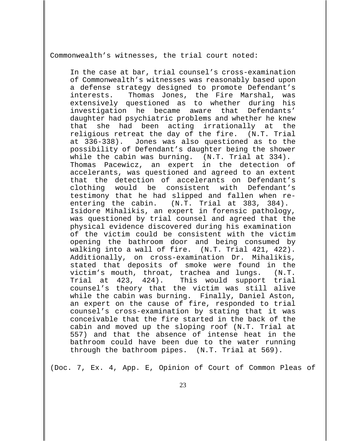Commonwealth's witnesses, the trial court noted:

In the case at bar, trial counsel's cross-examination of Commonwealth's witnesses was reasonably based upon a defense strategy designed to promote Defendant's interests. Thomas Jones, the Fire Marshal, was extensively questioned as to whether during his investigation he became aware that Defendants' daughter had psychiatric problems and whether he knew that she had been acting irrationally at the religious retreat the day of the fire. (N.T. Trial at 336-338). Jones was also questioned as to the possibility of Defendant's daughter being the shower while the cabin was burning. (N.T. Trial at 334). Thomas Pacewicz, an expert in the detection of accelerants, was questioned and agreed to an extent that the detection of accelerants on Defendant's clothing would be consistent with Defendant's testimony that he had slipped and fallen when reentering the cabin. (N.T. Trial at 383, 384). Isidore Mihalikis, an expert in forensic pathology, was questioned by trial counsel and agreed that the physical evidence discovered during his examination of the victim could be consistent with the victim opening the bathroom door and being consumed by walking into a wall of fire. (N.T. Trial 421, 422). Additionally, on cross-examination Dr. Mihalikis, stated that deposits of smoke were found in the victim's mouth, throat, trachea and lungs. (N.T. Trial at 423, 424). This would support trial counsel's theory that the victim was still alive while the cabin was burning. Finally, Daniel Aston, an expert on the cause of fire, responded to trial counsel's cross-examination by stating that it was conceivable that the fire started in the back of the cabin and moved up the sloping roof (N.T. Trial at 557) and that the absence of intense heat in the bathroom could have been due to the water running through the bathroom pipes. (N.T. Trial at 569).

(Doc. 7, Ex. 4, App. E, Opinion of Court of Common Pleas of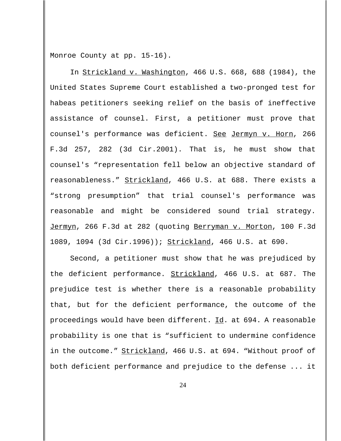Monroe County at pp. 15-16).

In Strickland v. Washington, 466 U.S. 668, 688 (1984), the United States Supreme Court established a two-pronged test for habeas petitioners seeking relief on the basis of ineffective assistance of counsel. First, a petitioner must prove that counsel's performance was deficient. See Jermyn v. Horn, 266 F.3d 257, 282 (3d Cir.2001). That is, he must show that counsel's "representation fell below an objective standard of reasonableness." Strickland, 466 U.S. at 688. There exists a "strong presumption" that trial counsel's performance was reasonable and might be considered sound trial strategy. Jermyn, 266 F.3d at 282 (quoting Berryman v. Morton, 100 F.3d 1089, 1094 (3d Cir.1996)); Strickland, 466 U.S. at 690.

Second, a petitioner must show that he was prejudiced by the deficient performance. Strickland, 466 U.S. at 687. The prejudice test is whether there is a reasonable probability that, but for the deficient performance, the outcome of the proceedings would have been different.  $\underline{Id}$ . at 694. A reasonable probability is one that is "sufficient to undermine confidence in the outcome." Strickland, 466 U.S. at 694. "Without proof of both deficient performance and prejudice to the defense ... it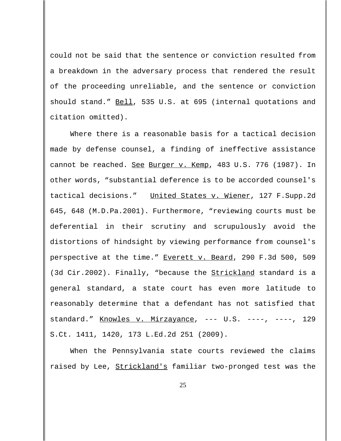could not be said that the sentence or conviction resulted from a breakdown in the adversary process that rendered the result of the proceeding unreliable, and the sentence or conviction should stand." Bell, 535 U.S. at 695 (internal quotations and citation omitted).

Where there is a reasonable basis for a tactical decision made by defense counsel, a finding of ineffective assistance cannot be reached. See Burger v. Kemp, 483 U.S. 776 (1987). In other words, "substantial deference is to be accorded counsel's tactical decisions." United States v. Wiener, 127 F. Supp.2d 645, 648 (M.D.Pa.2001). Furthermore, "reviewing courts must be deferential in their scrutiny and scrupulously avoid the distortions of hindsight by viewing performance from counsel's perspective at the time." Everett v. Beard, 290 F.3d 500, 509 (3d Cir.2002). Finally, "because the **Strickland** standard is a general standard, a state court has even more latitude to reasonably determine that a defendant has not satisfied that standard." Knowles v. Mirzayance, --- U.S. ----, ----, 129 S.Ct. 1411, 1420, 173 L.Ed.2d 251 (2009).

When the Pennsylvania state courts reviewed the claims raised by Lee, Strickland's familiar two-pronged test was the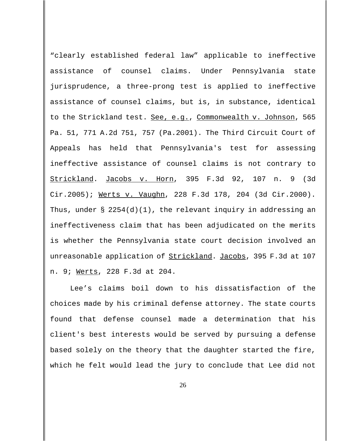"clearly established federal law" applicable to ineffective assistance of counsel claims. Under Pennsylvania state jurisprudence, a three-prong test is applied to ineffective assistance of counsel claims, but is, in substance, identical to the Strickland test. See, e.g., Commonwealth v. Johnson, 565 Pa. 51, 771 A.2d 751, 757 (Pa.2001). The Third Circuit Court of Appeals has held that Pennsylvania's test for assessing ineffective assistance of counsel claims is not contrary to Strickland. Jacobs v. Horn, 395 F.3d 92, 107 n. 9 (3d Cir.2005); Werts v. Vaughn, 228 F.3d 178, 204 (3d Cir.2000). Thus, under  $\S$  2254(d)(1), the relevant inquiry in addressing an ineffectiveness claim that has been adjudicated on the merits is whether the Pennsylvania state court decision involved an unreasonable application of **Strickland. Jacobs**, 395 F.3d at 107 n. 9; Werts, 228 F.3d at 204.

Lee's claims boil down to his dissatisfaction of the choices made by his criminal defense attorney. The state courts found that defense counsel made a determination that his client's best interests would be served by pursuing a defense based solely on the theory that the daughter started the fire, which he felt would lead the jury to conclude that Lee did not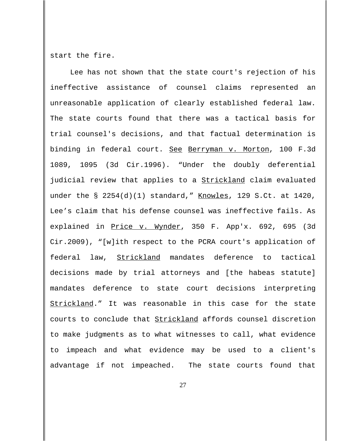start the fire.

Lee has not shown that the state court's rejection of his ineffective assistance of counsel claims represented an unreasonable application of clearly established federal law. The state courts found that there was a tactical basis for trial counsel's decisions, and that factual determination is binding in federal court. See Berryman v. Morton, 100 F.3d 1089, 1095 (3d Cir.1996). "Under the doubly deferential judicial review that applies to a **Strickland** claim evaluated under the  $\S$  2254(d)(1) standard," Knowles, 129 S.Ct. at 1420, Lee's claim that his defense counsel was ineffective fails. As explained in Price v. Wynder, 350 F. App'x. 692, 695 (3d Cir.2009), "[w]ith respect to the PCRA court's application of federal law, Strickland mandates deference to tactical decisions made by trial attorneys and [the habeas statute] mandates deference to state court decisions interpreting Strickland." It was reasonable in this case for the state courts to conclude that Strickland affords counsel discretion to make judgments as to what witnesses to call, what evidence to impeach and what evidence may be used to a client's advantage if not impeached. The state courts found that

27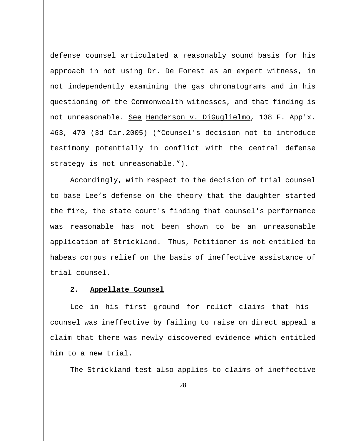defense counsel articulated a reasonably sound basis for his approach in not using Dr. De Forest as an expert witness, in not independently examining the gas chromatograms and in his questioning of the Commonwealth witnesses, and that finding is not unreasonable. See Henderson v. DiGuglielmo, 138 F. App'x. 463, 470 (3d Cir.2005) ("Counsel's decision not to introduce testimony potentially in conflict with the central defense strategy is not unreasonable.").

Accordingly, with respect to the decision of trial counsel to base Lee's defense on the theory that the daughter started the fire, the state court's finding that counsel's performance was reasonable has not been shown to be an unreasonable application of Strickland. Thus, Petitioner is not entitled to habeas corpus relief on the basis of ineffective assistance of trial counsel.

#### **2. Appellate Counsel**

Lee in his first ground for relief claims that his counsel was ineffective by failing to raise on direct appeal a claim that there was newly discovered evidence which entitled him to a new trial.

The **Strickland** test also applies to claims of ineffective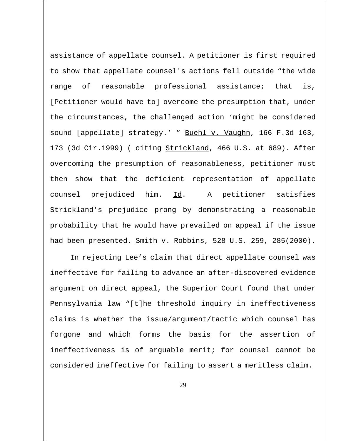assistance of appellate counsel. A petitioner is first required to show that appellate counsel's actions fell outside "the wide range of reasonable professional assistance; that is, [Petitioner would have to] overcome the presumption that, under the circumstances, the challenged action 'might be considered sound [appellate] strategy.' " Buehl v. Vaughn, 166 F.3d 163, 173 (3d Cir.1999) ( citing Strickland, 466 U.S. at 689). After overcoming the presumption of reasonableness, petitioner must then show that the deficient representation of appellate counsel prejudiced him. Id. A petitioner satisfies Strickland's prejudice prong by demonstrating a reasonable probability that he would have prevailed on appeal if the issue had been presented. Smith v. Robbins, 528 U.S. 259, 285(2000).

In rejecting Lee's claim that direct appellate counsel was ineffective for failing to advance an after-discovered evidence argument on direct appeal, the Superior Court found that under Pennsylvania law "[t]he threshold inquiry in ineffectiveness claims is whether the issue/argument/tactic which counsel has forgone and which forms the basis for the assertion of ineffectiveness is of arguable merit; for counsel cannot be considered ineffective for failing to assert a meritless claim.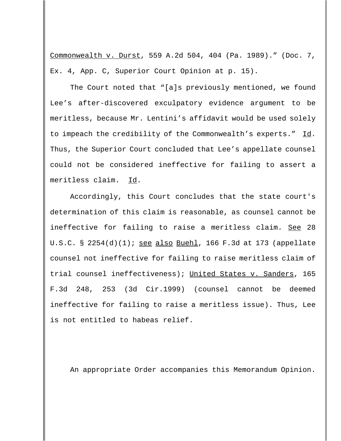Commonwealth v. Durst, 559 A.2d 504, 404 (Pa. 1989)." (Doc. 7, Ex. 4, App. C, Superior Court Opinion at p. 15).

The Court noted that "[a]s previously mentioned, we found Lee's after-discovered exculpatory evidence argument to be meritless, because Mr. Lentini's affidavit would be used solely to impeach the credibility of the Commonwealth's experts." Id. Thus, the Superior Court concluded that Lee's appellate counsel could not be considered ineffective for failing to assert a meritless claim. Id.

Accordingly, this Court concludes that the state court's determination of this claim is reasonable, as counsel cannot be ineffective for failing to raise a meritless claim. See 28 U.S.C. § 2254(d)(1); see also Buehl, 166 F.3d at 173 (appellate counsel not ineffective for failing to raise meritless claim of trial counsel ineffectiveness); United States v. Sanders, 165 F.3d 248, 253 (3d Cir.1999) (counsel cannot be deemed ineffective for failing to raise a meritless issue). Thus, Lee is not entitled to habeas relief.

An appropriate Order accompanies this Memorandum Opinion.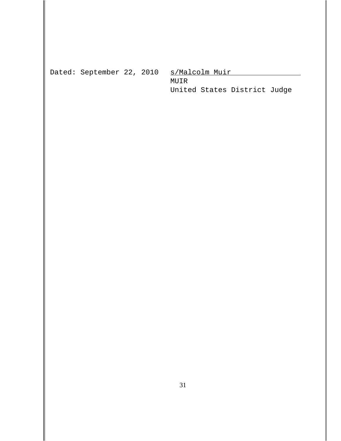Dated: September 22, 2010 s/Malcolm Muir

MUIR United States District Judge